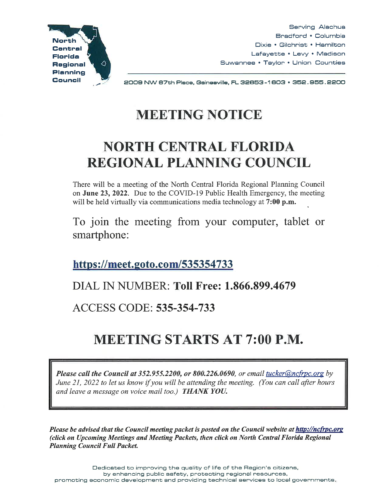

Serving Alachua Bradford • Columbia Dixie • Gilchrist • Hamilton Lafayette • Levy • Madison Suwannee • Taylor • Union Counties

2009 NW 87th Piece, Geineeville, FL 32653-1 603 • 352. 955. 2200

# **MEETING NOTICE**

## **NORTH CENTRAL FLORIDA REGIONAL PLANNING COUNCIL**

There will be a meeting of the North Central Florida Regional Planning Council on June 23, 2022. Due to the COVID-19 Public Health Emergency, the meeting will be held virtually via communications media technology at 7:00 p.m.

To join the meeting from your computer, tablet or smartphone:

**https ://meet.goto.com/535354 733** 

### DIAL IN NUMBER: **Toll Free: 1.866.899.4679**

ACCESS CODE: **535-354-733** 

# **MEETING STARTS AT 7:00 P.M.**

*Please call the Council at 352.955.2200, or 800.226.0690, or email tucker@nctrpc.org by June 21, 2022 to let us know* if *you will be attending the meeting. (You can call after hours and leave a message on voice mail too.) THANK YOU.* 

*Please be advised that the Council meeting packet is posted on the Council website at http://ncfrpc.org (click on Upcoming Meetings and Meeting Packets, then click on North Central Florida Regional Planning Council Full Packet.*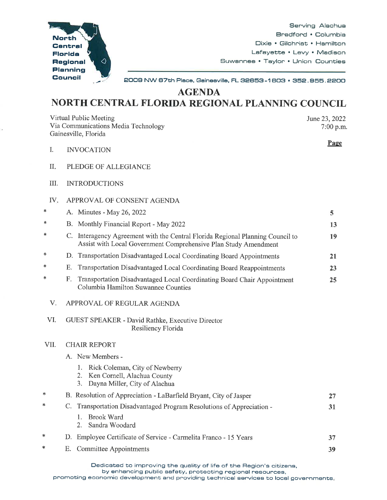

Serving Alachua Bradford • Columbia Dixie • Gilchrist • Hamilton Lafayette • Levy • Madison Suwannee • Taylor • Union Counties

2009 NW 87th Place, Gainesville, FL 32853 -1 803 • 352. 955. 2200

**AGENDA** 

#### **NORTH CENTRAL FLORIDA REGIONAL PLANNING COUNCIL**

Virtual Public Meeting Via Communications Media Technology Gainesville, Florida

June 23, 2022  $7:00$  p.m.

Page

- I. INVOCATION
- II. PLEDGE OF ALLEGIANCE
- III. INTRODUCTIONS
- IV. APPROVAL OF CONSENT AGENDA

| $\ast$ |    | A. Minutes - May 26, 2022                                                                                                                      |    |
|--------|----|------------------------------------------------------------------------------------------------------------------------------------------------|----|
| $\ast$ |    | B. Monthly Financial Report - May 2022                                                                                                         | 13 |
| $\ast$ |    | Interagency Agreement with the Central Florida Regional Planning Council to<br>Assist with Local Government Comprehensive Plan Study Amendment | 19 |
| *      |    | D. Transportation Disadvantaged Local Coordinating Board Appointments                                                                          | 21 |
| $\ast$ |    | E. Transportation Disadvantaged Local Coordinating Board Reappointments                                                                        | 23 |
| $\ast$ | F. | Transportation Disadvantaged Local Coordinating Board Chair Appointment<br>Columbia Hamilton Suwannee Counties                                 | 25 |

- V. APPROVAL OF REGULAR AGENDA
- VI. GUEST SPEAKER David Rathke, Executive Director Resiliency Florida

#### VIL CHAIR REPORT

- A. New Members
	- 1. Rick Coleman, City of Newberry
	- 2. Ken Cornell, Alachua County
	- 3. Dayna Miller, City of Alachua

| — ж    |    | B. Resolution of Appreciation - LaBarfield Bryant, City of Jasper  |    |
|--------|----|--------------------------------------------------------------------|----|
| $*$    |    | Transportation Disadvantaged Program Resolutions of Appreciation - |    |
|        |    | Brook Ward<br>2. Sandra Woodard                                    |    |
| $\ast$ |    | D. Employee Certificate of Service - Carmelita Franco - 15 Years   | 37 |
| $\ast$ | Е. | Committee Appointments                                             | 39 |